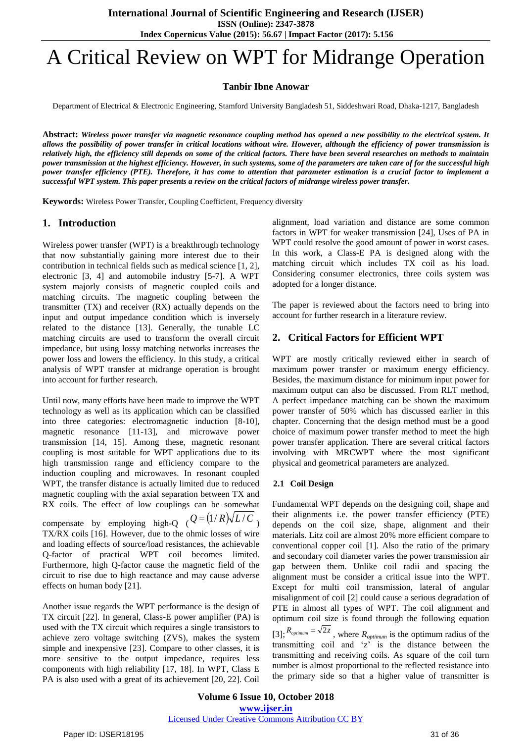**ISSN (Online): 2347-3878**

**Index Copernicus Value (2015): 56.67 | Impact Factor (2017): 5.156**

# A Critical Review on WPT for Midrange Operation

# **Tanbir Ibne Anowar**

Department of Electrical & Electronic Engineering, Stamford University Bangladesh 51, Siddeshwari Road, Dhaka-1217, Bangladesh

**Abstract:** *Wireless power transfer via magnetic resonance coupling method has opened a new possibility to the electrical system. It allows the possibility of power transfer in critical locations without wire. However, although the efficiency of power transmission is relatively high, the efficiency still depends on some of the critical factors. There have been several researches on methods to maintain power transmission at the highest efficiency. However, in such systems, some of the parameters are taken care of for the successful high power transfer efficiency (PTE). Therefore, it has come to attention that parameter estimation is a crucial factor to implement a successful WPT system. This paper presents a review on the critical factors of midrange wireless power transfer.*

**Keywords:** Wireless Power Transfer, Coupling Coefficient, Frequency diversity

## **1. Introduction**

Wireless power transfer (WPT) is a breakthrough technology that now substantially gaining more interest due to their contribution in technical fields such as medical science [1, 2], electronic [3, 4] and automobile industry [5-7]. A WPT system majorly consists of magnetic coupled coils and matching circuits. The magnetic coupling between the transmitter (TX) and receiver (RX) actually depends on the input and output impedance condition which is inversely related to the distance [13]. Generally, the tunable LC matching circuits are used to transform the overall circuit impedance, but using lossy matching networks increases the power loss and lowers the efficiency. In this study, a critical analysis of WPT transfer at midrange operation is brought into account for further research.

Until now, many efforts have been made to improve the WPT technology as well as its application which can be classified into three categories: electromagnetic induction [8-10], magnetic resonance [11-13], and microwave power transmission [14, 15]. Among these, magnetic resonant coupling is most suitable for WPT applications due to its high transmission range and efficiency compare to the induction coupling and microwaves. In resonant coupled WPT, the transfer distance is actually limited due to reduced magnetic coupling with the axial separation between TX and RX coils. The effect of low couplings can be somewhat compensate by employing high-Q  $(Q = (1/R)\sqrt{L/C})$ TX/RX coils [16]. However, due to the ohmic losses of wire and loading effects of source/load resistances, the achievable Q-factor of practical WPT coil becomes limited. Furthermore, high Q-factor cause the magnetic field of the circuit to rise due to high reactance and may cause adverse effects on human body [21].

Another issue regards the WPT performance is the design of TX circuit [22]. In general, Class-E power amplifier (PA) is used with the TX circuit which requires a single transistors to achieve zero voltage switching (ZVS), makes the system simple and inexpensive [23]. Compare to other classes, it is more sensitive to the output impedance, requires less components with high reliability [17, 18]. In WPT, Class E PA is also used with a great of its achievement [20, 22]. Coil

alignment, load variation and distance are some common factors in WPT for weaker transmission [24], Uses of PA in WPT could resolve the good amount of power in worst cases. In this work, a Class-E PA is designed along with the matching circuit which includes TX coil as his load. Considering consumer electronics, three coils system was adopted for a longer distance.

The paper is reviewed about the factors need to bring into account for further research in a literature review.

# **2. Critical Factors for Efficient WPT**

WPT are mostly critically reviewed either in search of maximum power transfer or maximum energy efficiency. Besides, the maximum distance for minimum input power for maximum output can also be discussed. From RLT method, A perfect impedance matching can be shown the maximum power transfer of 50% which has discussed earlier in this chapter. Concerning that the design method must be a good choice of maximum power transfer method to meet the high power transfer application. There are several critical factors involving with MRCWPT where the most significant physical and geometrical parameters are analyzed.

## **2.1 Coil Design**

Fundamental WPT depends on the designing coil, shape and their alignments i.e. the power transfer efficiency (PTE) depends on the coil size, shape, alignment and their materials. Litz coil are almost 20% more efficient compare to conventional copper coil [\[1\]](#page-4-0). Also the ratio of the primary and secondary coil diameter varies the power transmission air gap between them. Unlike coil radii and spacing the alignment must be consider a critical issue into the WPT. Except for multi coil transmission, lateral of angular misalignment of coil [\[2\]](#page-4-1) could cause a serious degradation of PTE in almost all types of WPT. The coil alignment and optimum coil size is found through the following equation  $[3]$ ;  $R_{\text{optimum}} = \sqrt{2z}$ , where  $R_{\text{optimum}}$  is the optimum radius of the transmitting coil and  $z^2$  is the distance between the transmitting and receiving coils. As square of the coil turn number is almost proportional to the reflected resistance into the primary side so that a higher value of transmitter is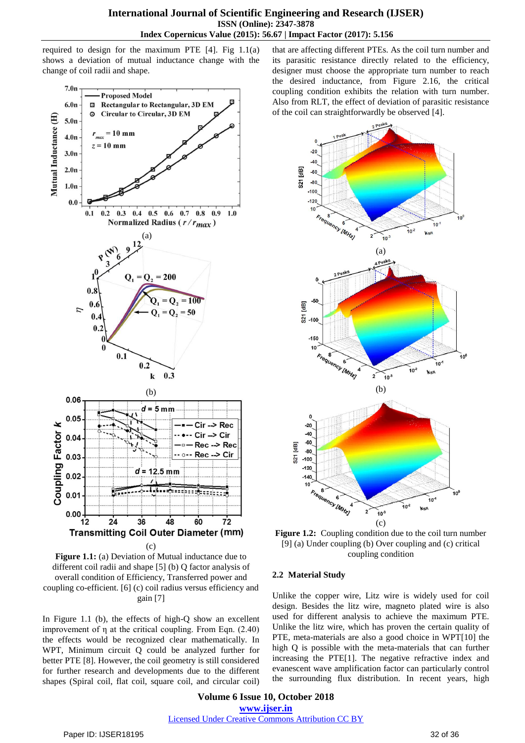required to design for the maximum PTE  $[4]$ . Fig  $1.1(a)$ shows a deviation of mutual inductance change with the change of coil radii and shape.



**Figure 1.1:** (a) Deviation of Mutual inductance due to different coil radii and shape [\[5\]](#page-4-4) (b) Q factor analysis of overall condition of Efficiency, Transferred power and coupling co-efficient. [\[6\]](#page-4-5) (c) coil radius versus efficiency and gain [\[7\]](#page-4-6)

In Figure 1.1 (b), the effects of high-Q show an excellent improvement of η at the critical coupling. From Eqn. (2.40) the effects would be recognized clear mathematically. In WPT, Minimum circuit Q could be analyzed further for better PTE [\[8\]](#page-4-7). However, the coil geometry is still considered for further research and developments due to the different shapes (Spiral coil, flat coil, square coil, and circular coil) that are affecting different PTEs. As the coil turn number and its parasitic resistance directly related to the efficiency, designer must choose the appropriate turn number to reach the desired inductance, from Figure 2.16, the critical coupling condition exhibits the relation with turn number. Also from RLT, the effect of deviation of parasitic resistance of the coil can straightforwardly be observed [\[4\]](#page-4-3).



**Figure 1.2:** Coupling condition due to the coil turn number [\[9\]](#page-4-8) (a) Under coupling (b) Over coupling and (c) critical coupling condition

## **2.2 Material Study**

Unlike the copper wire, Litz wire is widely used for coil design. Besides the litz wire, magneto plated wire is also used for different analysis to achieve the maximum PTE. Unlike the litz wire, which has proven the certain quality of PTE, meta-materials are also a good choice in WPT[\[10\]](#page-4-9) the high Q is possible with the meta-materials that can further increasing the PTE[\[1\]](#page-4-0). The negative refractive index and evanescent wave amplification factor can particularly control the surrounding flux distribution. In recent years, high

**Volume 6 Issue 10, October 2018 www.ijser.in** Licensed Under Creative Commons Attribution CC BY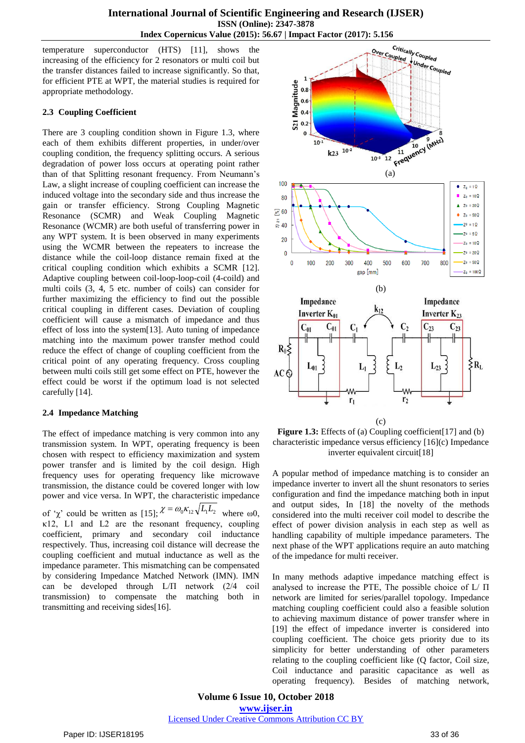temperature superconductor (HTS) [\[11\]](#page-4-10), shows the increasing of the efficiency for 2 resonators or multi coil but the transfer distances failed to increase significantly. So that, for efficient PTE at WPT, the material studies is required for appropriate methodology.

## **2.3 Coupling Coefficient**

There are 3 coupling condition shown in Figure 1.3, where each of them exhibits different properties, in under/over coupling condition, the frequency splitting occurs. A serious degradation of power loss occurs at operating point rather than of that Splitting resonant frequency. From Neumann's Law, a slight increase of coupling coefficient can increase the induced voltage into the secondary side and thus increase the gain or transfer efficiency. Strong Coupling Magnetic Resonance (SCMR) and Weak Coupling Magnetic Resonance (WCMR) are both useful of transferring power in any WPT system. It is been observed in many experiments using the WCMR between the repeaters to increase the distance while the coil-loop distance remain fixed at the critical coupling condition which exhibits a SCMR [\[12\]](#page-4-11). Adaptive coupling between coil-loop-loop-coil (4-coild) and multi coils (3, 4, 5 etc. number of coils) can consider for further maximizing the efficiency to find out the possible critical coupling in different cases. Deviation of coupling coefficient will cause a mismatch of impedance and thus effect of loss into the system[\[13\]](#page-4-12). Auto tuning of impedance matching into the maximum power transfer method could reduce the effect of change of coupling coefficient from the critical point of any operating frequency. Cross coupling between multi coils still get some effect on PTE, however the effect could be worst if the optimum load is not selected carefully [\[14\]](#page-4-13).

## **2.4 Impedance Matching**

The effect of impedance matching is very common into any transmission system. In WPT, operating frequency is been chosen with respect to efficiency maximization and system power transfer and is limited by the coil design. High frequency uses for operating frequency like microwave transmission, the distance could be covered longer with low power and vice versa. In WPT, the characteristic impedance of ' $\chi$ ' could be written as [\[15\]](#page-4-14);  $\chi = \omega_0 \kappa_{12} \sqrt{L_1 L_2}$  where  $\omega_0$ ,  $\kappa$ 12, L1 and L2 are the resonant frequency, coupling coefficient, primary and secondary coil inductance respectively. Thus, increasing coil distance will decrease the coupling coefficient and mutual inductance as well as the impedance parameter. This mismatching can be compensated by considering Impedance Matched Network (IMN). IMN can be developed through L/Π network (2/4 coil transmission) to compensate the matching both in transmitting and receiving sides[\[16\]](#page-4-15).



(c)

**Figure 1.3:** Effects of (a) Coupling coefficient[\[17\]](#page-5-0) and (b) characteristic impedance versus efficiency [\[16\]](#page-4-15)(c) Impedance inverter equivalent circuit[\[18\]](#page-5-1)

A popular method of impedance matching is to consider an impedance inverter to invert all the shunt resonators to series configuration and find the impedance matching both in input and output sides, In [\[18\]](#page-5-1) the novelty of the methods considered into the multi receiver coil model to describe the effect of power division analysis in each step as well as handling capability of multiple impedance parameters. The next phase of the WPT applications require an auto matching of the impedance for multi receiver.

In many methods adaptive impedance matching effect is analysed to increase the PTE, The possible choice of L/ Π network are limited for series/parallel topology. Impedance matching coupling coefficient could also a feasible solution to achieving maximum distance of power transfer where in [\[19\]](#page-5-2) the effect of impedance inverter is considered into coupling coefficient. The choice gets priority due to its simplicity for better understanding of other parameters relating to the coupling coefficient like (Q factor, Coil size, Coil inductance and parasitic capacitance as well as operating frequency). Besides of matching network,

**Volume 6 Issue 10, October 2018 www.ijser.in** Licensed Under Creative Commons Attribution CC BY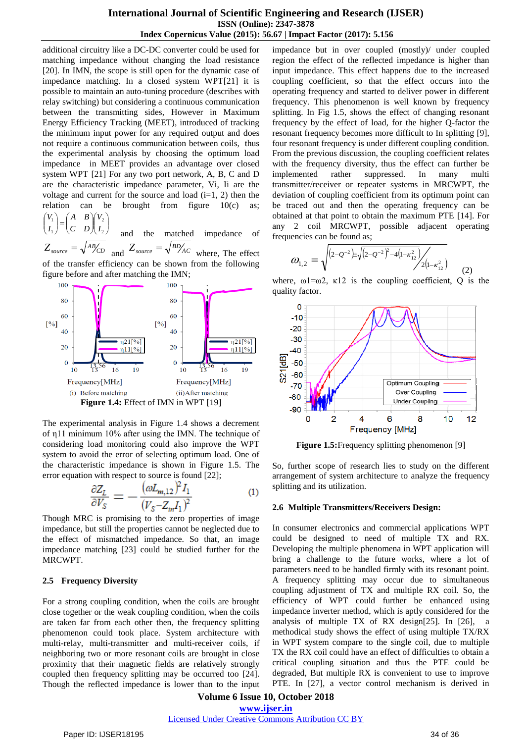## **International Journal of Scientific Engineering and Research (IJSER) ISSN (Online): 2347-3878 Index Copernicus Value (2015): 56.67 | Impact Factor (2017): 5.156**

additional circuitry like a DC-DC converter could be used for matching impedance without changing the load resistance [\[20\]](#page-5-3). In IMN, the scope is still open for the dynamic case of impedance matching. In a closed system WPT[\[21\]](#page-5-4) it is possible to maintain an auto-tuning procedure (describes with relay switching) but considering a continuous communication between the transmitting sides, However in Maximum Energy Efficiency Tracking (MEET), introduced of tracking the minimum input power for any required output and does not require a continuous communication between coils, thus the experimental analysis by choosing the optimum load impedance in MEET provides an advantage over closed system WPT [\[21\]](#page-5-4) For any two port network, A, B, C and D are the characteristic impedance parameter, Vi, Ii are the voltage and current for the source and load  $(i=1, 2)$  then the relation can be brought from figure  $10(c)$  as;  $\mathcal{L}$ ſ <sup>1</sup>  $\mathcal{L}$ ſ 2 1 *V A B V*

 $\bigg\}$ J  $\mathsf{I}$ V I y  $\mathsf{I}$ L  $\begin{pmatrix} A & B \\ C & D \end{pmatrix} \begin{pmatrix} V_2 \\ I_2 \end{pmatrix}$  $\mathbf{I}$ J  $\mathsf{I}$ L 1 *I C D I* and the matched impedance of  $Z_{source} = \sqrt{AB/CD}$  and  $Z_{source} = \sqrt{BD/AC}$  where, The effect

of the transfer efficiency can be shown from the following figure before and after matching the IMN;



The experimental analysis in Figure 1.4 shows a decrement of η11 minimum 10% after using the IMN. The technique of considering load monitoring could also improve the WPT system to avoid the error of selecting optimum load. One of the characteristic impedance is shown in Figure 1.5. The error equation with respect to source is found [\[22\]](#page-5-5);

$$
\frac{\partial Z_L}{\partial V_S} = -\frac{(\omega L_{m,12})^2 I_1}{(V_S - Z_{in} I_1)^2} \tag{1}
$$

Though MRC is promising to the zero properties of image impedance, but still the properties cannot be neglected due to the effect of mismatched impedance. So that, an image impedance matching [\[23\]](#page-5-6) could be studied further for the MRCWPT.

## **2.5 Frequency Diversity**

For a strong coupling condition, when the coils are brought close together or the weak coupling condition, when the coils are taken far from each other then, the frequency splitting phenomenon could took place. System architecture with multi-relay, multi-transmitter and multi-receiver coils, if neighboring two or more resonant coils are brought in close proximity that their magnetic fields are relatively strongly coupled then frequency splitting may be occurred too [\[24\]](#page-5-7). Though the reflected impedance is lower than to the input impedance but in over coupled (mostly)/ under coupled region the effect of the reflected impedance is higher than input impedance. This effect happens due to the increased coupling coefficient, so that the effect occurs into the operating frequency and started to deliver power in different frequency. This phenomenon is well known by frequency splitting. In Fig 1.5, shows the effect of changing resonant frequency by the effect of load, for the higher Q-factor the resonant frequency becomes more difficult to In splitting [\[9\]](#page-4-8), four resonant frequency is under different coupling condition. From the previous discussion, the coupling coefficient relates with the frequency diversity, thus the effect can further be implemented rather suppressed. In many multi transmitter/receiver or repeater systems in MRCWPT, the deviation of coupling coefficient from its optimum point can be traced out and then the operating frequency can be obtained at that point to obtain the maximum PTE [\[14\]](#page-4-13). For any 2 coil MRCWPT, possible adjacent operating frequencies can be found as;

$$
\omega_{1,2} = \sqrt{\sqrt{(2 - \mathcal{Q}^{-2}) \pm \sqrt{(2 - \mathcal{Q}^{-2})^2 - 4(1 - \kappa_{12}^2)} / 2(1 - \kappa_{12}^2)}}
$$
(2)

where,  $\omega 1 = \omega^2$ ,  $\kappa 12$  is the coupling coefficient, Q is the quality factor.



**Figure 1.5:**Frequency splitting phenomenon [\[9\]](#page-4-8)

So, further scope of research lies to study on the different arrangement of system architecture to analyze the frequency splitting and its utilization.

#### **2.6 Multiple Transmitters/Receivers Design:**

In consumer electronics and commercial applications WPT could be designed to need of multiple TX and RX. Developing the multiple phenomena in WPT application will bring a challenge to the future works, where a lot of parameters need to be handled firmly with its resonant point. A frequency splitting may occur due to simultaneous coupling adjustment of TX and multiple RX coil. So, the efficiency of WPT could further be enhanced using impedance inverter method, which is aptly considered for the analysis of multiple TX of RX design[\[25\]](#page-5-8). In [\[26\]](#page-5-9), a methodical study shows the effect of using multiple TX/RX in WPT system compare to the single coil, due to multiple TX the RX coil could have an effect of difficulties to obtain a critical coupling situation and thus the PTE could be degraded, But multiple RX is convenient to use to improve PTE. In [\[27\]](#page-5-10), a vector control mechanism is derived in

**Volume 6 Issue 10, October 2018 www.ijser.in**

Licensed Under Creative Commons Attribution CC BY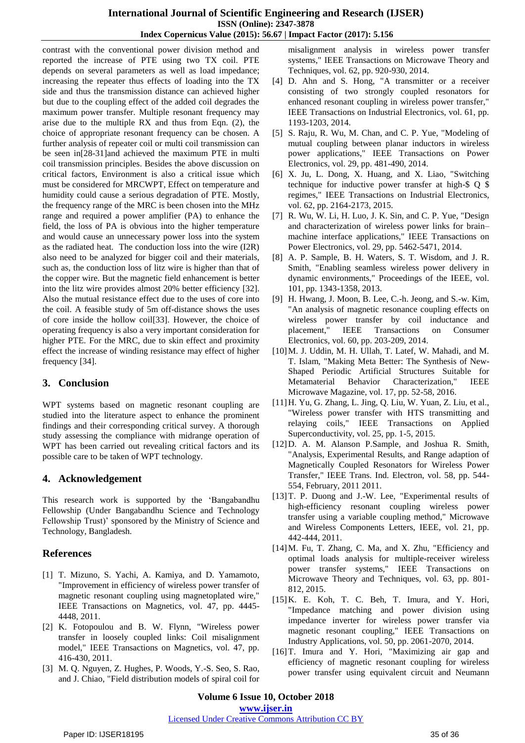## **International Journal of Scientific Engineering and Research (IJSER) ISSN (Online): 2347-3878 Index Copernicus Value (2015): 56.67 | Impact Factor (2017): 5.156**

contrast with the conventional power division method and reported the increase of PTE using two TX coil. PTE depends on several parameters as well as load impedance; increasing the repeater thus effects of loading into the TX side and thus the transmission distance can achieved higher but due to the coupling effect of the added coil degrades the maximum power transfer. Multiple resonant frequency may arise due to the multiple RX and thus from Eqn. (2), the choice of appropriate resonant frequency can be chosen. A further analysis of repeater coil or multi coil transmission can be seen in[\[28-31\]](#page-5-11)and achieved the maximum PTE in multi coil transmission principles. Besides the above discussion on critical factors, Environment is also a critical issue which must be considered for MRCWPT, Effect on temperature and humidity could cause a serious degradation of PTE. Mostly, the frequency range of the MRC is been chosen into the MHz range and required a power amplifier (PA) to enhance the field, the loss of PA is obvious into the higher temperature and would cause an unnecessary power loss into the system as the radiated heat. The conduction loss into the wire (I2R) also need to be analyzed for bigger coil and their materials, such as, the conduction loss of litz wire is higher than that of the copper wire. But the magnetic field enhancement is better into the litz wire provides almost 20% better efficiency [\[32\]](#page-5-12). Also the mutual resistance effect due to the uses of core into the coil. A feasible study of 5m off-distance shows the uses of core inside the hollow coil[\[33\]](#page-5-13). However, the choice of operating frequency is also a very important consideration for higher PTE. For the MRC, due to skin effect and proximity effect the increase of winding resistance may effect of higher frequency [\[34\]](#page-5-14).

# **3. Conclusion**

WPT systems based on magnetic resonant coupling are studied into the literature aspect to enhance the prominent findings and their corresponding critical survey. A thorough study assessing the compliance with midrange operation of WPT has been carried out revealing critical factors and its possible care to be taken of WPT technology.

# **4. Acknowledgement**

This research work is supported by the 'Bangabandhu Fellowship (Under Bangabandhu Science and Technology Fellowship Trust)' sponsored by the Ministry of Science and Technology, Bangladesh.

# **References**

- <span id="page-4-0"></span>[1] T. Mizuno, S. Yachi, A. Kamiya, and D. Yamamoto, "Improvement in efficiency of wireless power transfer of magnetic resonant coupling using magnetoplated wire," IEEE Transactions on Magnetics, vol. 47, pp. 4445- 4448, 2011.
- <span id="page-4-1"></span>[2] K. Fotopoulou and B. W. Flynn, "Wireless power transfer in loosely coupled links: Coil misalignment model," IEEE Transactions on Magnetics, vol. 47, pp. 416-430, 2011.
- <span id="page-4-2"></span>[3] M. Q. Nguyen, Z. Hughes, P. Woods, Y.-S. Seo, S. Rao, and J. Chiao, "Field distribution models of spiral coil for

misalignment analysis in wireless power transfer systems," IEEE Transactions on Microwave Theory and Techniques, vol. 62, pp. 920-930, 2014.

- <span id="page-4-3"></span>[4] D. Ahn and S. Hong, "A transmitter or a receiver consisting of two strongly coupled resonators for enhanced resonant coupling in wireless power transfer," IEEE Transactions on Industrial Electronics, vol. 61, pp. 1193-1203, 2014.
- <span id="page-4-4"></span>[5] S. Raju, R. Wu, M. Chan, and C. P. Yue, "Modeling of mutual coupling between planar inductors in wireless power applications," IEEE Transactions on Power Electronics, vol. 29, pp. 481-490, 2014.
- <span id="page-4-5"></span>[6] X. Ju, L. Dong, X. Huang, and X. Liao, "Switching technique for inductive power transfer at high-\$ Q \$ regimes," IEEE Transactions on Industrial Electronics, vol. 62, pp. 2164-2173, 2015.
- <span id="page-4-6"></span>[7] R. Wu, W. Li, H. Luo, J. K. Sin, and C. P. Yue, "Design and characterization of wireless power links for brain– machine interface applications," IEEE Transactions on Power Electronics, vol. 29, pp. 5462-5471, 2014.
- <span id="page-4-7"></span>[8] A. P. Sample, B. H. Waters, S. T. Wisdom, and J. R. Smith, "Enabling seamless wireless power delivery in dynamic environments," Proceedings of the IEEE, vol. 101, pp. 1343-1358, 2013.
- <span id="page-4-8"></span>[9] H. Hwang, J. Moon, B. Lee, C.-h. Jeong, and S.-w. Kim, "An analysis of magnetic resonance coupling effects on wireless power transfer by coil inductance and placement," IEEE Transactions on Consumer Electronics, vol. 60, pp. 203-209, 2014.
- <span id="page-4-9"></span>[10]M. J. Uddin, M. H. Ullah, T. Latef, W. Mahadi, and M. T. Islam, "Making Meta Better: The Synthesis of New-Shaped Periodic Artificial Structures Suitable for Metamaterial Behavior Characterization," IEEE Microwave Magazine, vol. 17, pp. 52-58, 2016.
- <span id="page-4-10"></span>[11]H. Yu, G. Zhang, L. Jing, Q. Liu, W. Yuan, Z. Liu, et al., "Wireless power transfer with HTS transmitting and relaying coils," IEEE Transactions on Applied Superconductivity, vol. 25, pp. 1-5, 2015.
- <span id="page-4-11"></span>[12]D. A. M. Alanson P.Sample, and Joshua R. Smith, "Analysis, Experimental Results, and Range adaption of Magnetically Coupled Resonators for Wireless Power Transfer," IEEE Trans. Ind. Electron, vol. 58, pp. 544- 554, February, 2011 2011.
- <span id="page-4-12"></span>[13]T. P. Duong and J.-W. Lee, "Experimental results of high-efficiency resonant coupling wireless power transfer using a variable coupling method," Microwave and Wireless Components Letters, IEEE, vol. 21, pp. 442-444, 2011.
- <span id="page-4-13"></span>[14]M. Fu, T. Zhang, C. Ma, and X. Zhu, "Efficiency and optimal loads analysis for multiple-receiver wireless power transfer systems," IEEE Transactions on Microwave Theory and Techniques, vol. 63, pp. 801- 812, 2015.
- <span id="page-4-14"></span>[15]K. E. Koh, T. C. Beh, T. Imura, and Y. Hori, "Impedance matching and power division using impedance inverter for wireless power transfer via magnetic resonant coupling," IEEE Transactions on Industry Applications, vol. 50, pp. 2061-2070, 2014.
- <span id="page-4-15"></span>[16]T. Imura and Y. Hori, "Maximizing air gap and efficiency of magnetic resonant coupling for wireless power transfer using equivalent circuit and Neumann